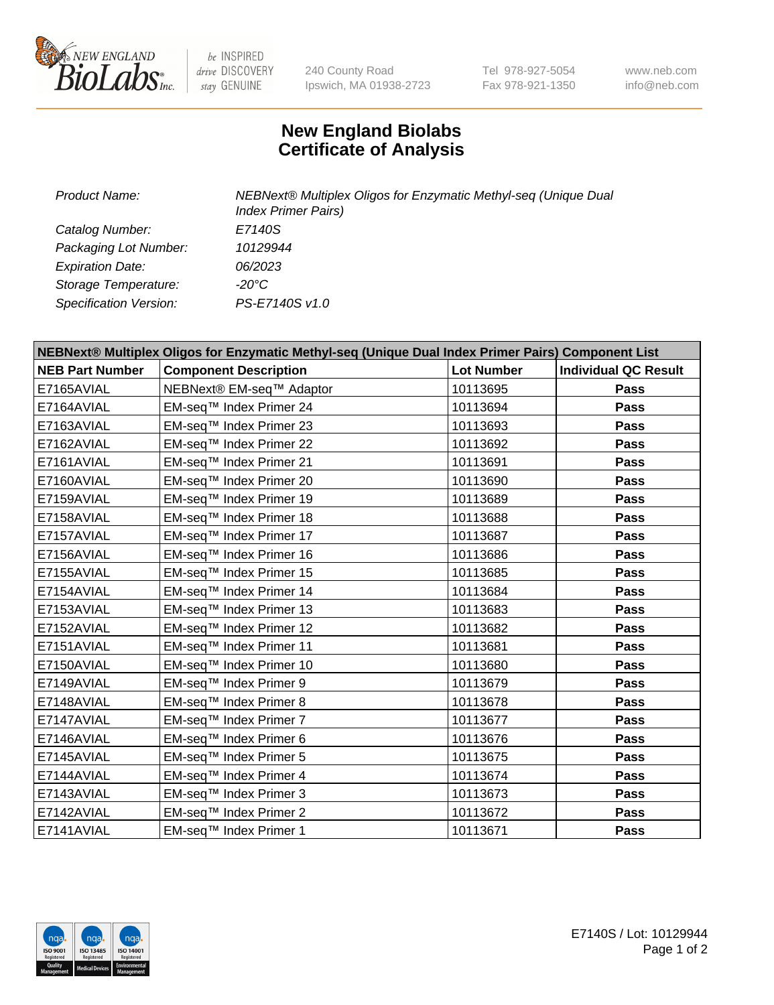

 $be$  INSPIRED drive DISCOVERY stay GENUINE

240 County Road Ipswich, MA 01938-2723 Tel 978-927-5054 Fax 978-921-1350 www.neb.com info@neb.com

## **New England Biolabs Certificate of Analysis**

| Product Name:           | NEBNext® Multiplex Oligos for Enzymatic Methyl-seq (Unique Dual<br><b>Index Primer Pairs)</b> |  |
|-------------------------|-----------------------------------------------------------------------------------------------|--|
| Catalog Number:         | E7140S                                                                                        |  |
| Packaging Lot Number:   | 10129944                                                                                      |  |
| <b>Expiration Date:</b> | 06/2023                                                                                       |  |
| Storage Temperature:    | -20°C                                                                                         |  |
| Specification Version:  | PS-E7140S v1.0                                                                                |  |

| NEBNext® Multiplex Oligos for Enzymatic Methyl-seq (Unique Dual Index Primer Pairs) Component List |                                      |                   |                             |  |
|----------------------------------------------------------------------------------------------------|--------------------------------------|-------------------|-----------------------------|--|
| <b>NEB Part Number</b>                                                                             | <b>Component Description</b>         | <b>Lot Number</b> | <b>Individual QC Result</b> |  |
| E7165AVIAL                                                                                         | NEBNext® EM-seq <sup>™</sup> Adaptor | 10113695          | Pass                        |  |
| E7164AVIAL                                                                                         | EM-seq™ Index Primer 24              | 10113694          | <b>Pass</b>                 |  |
| E7163AVIAL                                                                                         | EM-seq™ Index Primer 23              | 10113693          | <b>Pass</b>                 |  |
| E7162AVIAL                                                                                         | EM-seq™ Index Primer 22              | 10113692          | Pass                        |  |
| E7161AVIAL                                                                                         | EM-seq™ Index Primer 21              | 10113691          | <b>Pass</b>                 |  |
| E7160AVIAL                                                                                         | EM-seq™ Index Primer 20              | 10113690          | <b>Pass</b>                 |  |
| E7159AVIAL                                                                                         | EM-seq™ Index Primer 19              | 10113689          | Pass                        |  |
| E7158AVIAL                                                                                         | EM-seq™ Index Primer 18              | 10113688          | Pass                        |  |
| E7157AVIAL                                                                                         | EM-seq™ Index Primer 17              | 10113687          | Pass                        |  |
| E7156AVIAL                                                                                         | EM-seq™ Index Primer 16              | 10113686          | Pass                        |  |
| E7155AVIAL                                                                                         | EM-seq™ Index Primer 15              | 10113685          | <b>Pass</b>                 |  |
| E7154AVIAL                                                                                         | EM-seq™ Index Primer 14              | 10113684          | Pass                        |  |
| E7153AVIAL                                                                                         | EM-seq™ Index Primer 13              | 10113683          | <b>Pass</b>                 |  |
| E7152AVIAL                                                                                         | EM-seq™ Index Primer 12              | 10113682          | Pass                        |  |
| E7151AVIAL                                                                                         | EM-seq™ Index Primer 11              | 10113681          | <b>Pass</b>                 |  |
| E7150AVIAL                                                                                         | EM-seq™ Index Primer 10              | 10113680          | Pass                        |  |
| E7149AVIAL                                                                                         | EM-seq™ Index Primer 9               | 10113679          | <b>Pass</b>                 |  |
| E7148AVIAL                                                                                         | EM-seq™ Index Primer 8               | 10113678          | Pass                        |  |
| E7147AVIAL                                                                                         | EM-seq™ Index Primer 7               | 10113677          | Pass                        |  |
| E7146AVIAL                                                                                         | EM-seq™ Index Primer 6               | 10113676          | <b>Pass</b>                 |  |
| E7145AVIAL                                                                                         | EM-seq™ Index Primer 5               | 10113675          | Pass                        |  |
| E7144AVIAL                                                                                         | EM-seq™ Index Primer 4               | 10113674          | Pass                        |  |
| E7143AVIAL                                                                                         | EM-seq™ Index Primer 3               | 10113673          | Pass                        |  |
| E7142AVIAL                                                                                         | EM-seq™ Index Primer 2               | 10113672          | <b>Pass</b>                 |  |
| E7141AVIAL                                                                                         | EM-seq™ Index Primer 1               | 10113671          | <b>Pass</b>                 |  |